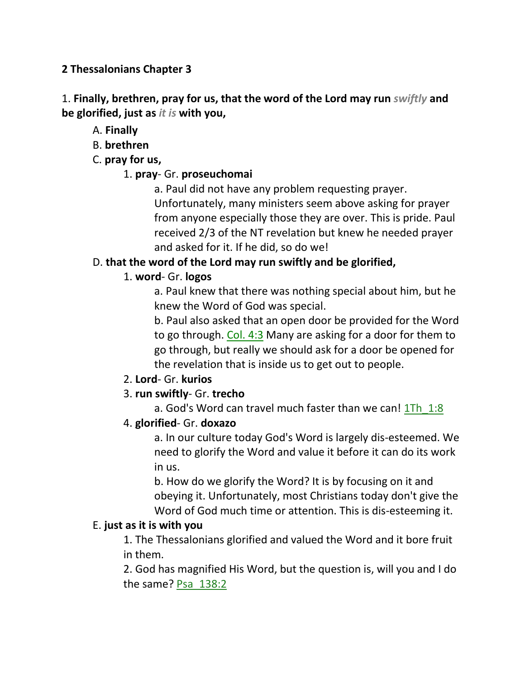## **2 Thessalonians Chapter 3**

1. **Finally, brethren, pray for us, that the word of the Lord may run** *swiftly* **and be glorified, just as** *it is* **with you,**

A. **Finally**

B. **brethren**

C. **pray for us,**

## 1. **pray**- Gr. **proseuchomai**

a. Paul did not have any problem requesting prayer. Unfortunately, many ministers seem above asking for prayer from anyone especially those they are over. This is pride. Paul received 2/3 of the NT revelation but knew he needed prayer and asked for it. If he did, so do we!

# D. **that the word of the Lord may run swiftly and be glorified,**

# 1. **word**- Gr. **logos**

a. Paul knew that there was nothing special about him, but he knew the Word of God was special.

b. Paul also asked that an open door be provided for the Word to go through. Col. 4:3 Many are asking for a door for them to go through, but really we should ask for a door be opened for the revelation that is inside us to get out to people.

## 2. **Lord**- Gr. **kurios**

## 3. **run swiftly**- Gr. **trecho**

a. God's Word can travel much faster than we can! 1Th 1:8

## 4. **glorified**- Gr. **doxazo**

a. In our culture today God's Word is largely dis-esteemed. We need to glorify the Word and value it before it can do its work in us.

b. How do we glorify the Word? It is by focusing on it and obeying it. Unfortunately, most Christians today don't give the Word of God much time or attention. This is dis-esteeming it.

## E. **just as it is with you**

1. The Thessalonians glorified and valued the Word and it bore fruit in them.

2. God has magnified His Word, but the question is, will you and I do the same? Psa\_138:2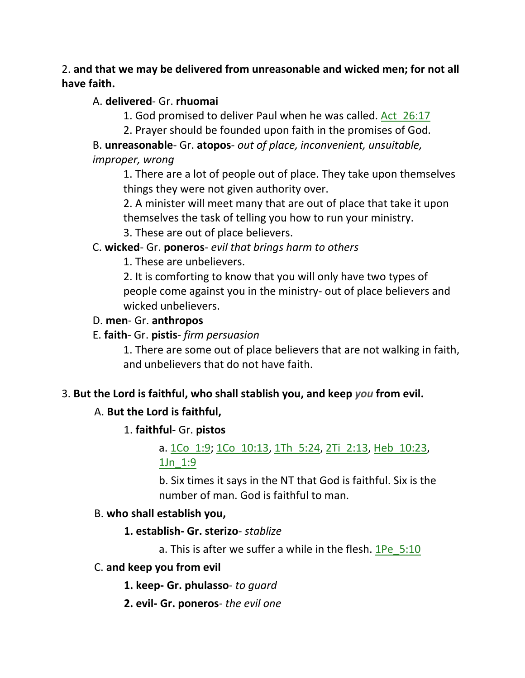## 2. **and that we may be delivered from unreasonable and wicked men; for not all have faith.**

## A. **delivered**- Gr. **rhuomai**

- 1. God promised to deliver Paul when he was called. Act\_26:17
- 2. Prayer should be founded upon faith in the promises of God.

B. **unreasonable**- Gr. **atopos**- *out of place, inconvenient, unsuitable, improper, wrong*

1. There are a lot of people out of place. They take upon themselves things they were not given authority over.

2. A minister will meet many that are out of place that take it upon themselves the task of telling you how to run your ministry.

3. These are out of place believers.

## C. **wicked**- Gr. **poneros**- *evil that brings harm to others*

1. These are unbelievers.

2. It is comforting to know that you will only have two types of people come against you in the ministry- out of place believers and wicked unbelievers.

#### D. **men**- Gr. **anthropos**

## E. **faith**- Gr. **pistis**- *firm persuasion*

1. There are some out of place believers that are not walking in faith, and unbelievers that do not have faith.

## 3. **But the Lord is faithful, who shall stablish you, and keep** *you* **from evil.**

## A. **But the Lord is faithful,**

## 1. **faithful**- Gr. **pistos**

a. 1Co\_1:9; 1Co\_10:13, 1Th\_5:24, 2Ti\_2:13, Heb\_10:23, 1Jn\_1:9

b. Six times it says in the NT that God is faithful. Six is the number of man. God is faithful to man.

## B. **who shall establish you,**

## **1. establish- Gr. sterizo**- *stablize*

a. This is after we suffer a while in the flesh.  $1\text{Pe}$  5:10

#### C. **and keep you from evil**

 **1. keep- Gr. phulasso**- *to guard*

 **2. evil- Gr. poneros**- *the evil one*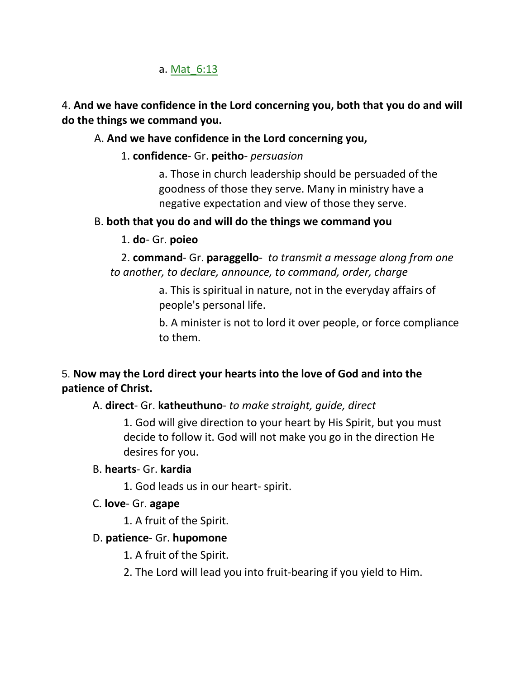## a. Mat 6:13

## 4. **And we have confidence in the Lord concerning you, both that you do and will do the things we command you.**

## A. **And we have confidence in the Lord concerning you,**

## 1. **confidence**- Gr. **peitho**- *persuasion*

a. Those in church leadership should be persuaded of the goodness of those they serve. Many in ministry have a negative expectation and view of those they serve.

## B. **both that you do and will do the things we command you**

## 1. **do**- Gr. **poieo**

 2. **command**- Gr. **paraggello**- *to transmit a message along from one to another, to declare, announce, to command, order, charge*

> a. This is spiritual in nature, not in the everyday affairs of people's personal life.

b. A minister is not to lord it over people, or force compliance to them.

# 5. **Now may the Lord direct your hearts into the love of God and into the patience of Christ.**

## A. **direct**- Gr. **katheuthuno**- *to make straight, guide, direct*

1. God will give direction to your heart by His Spirit, but you must decide to follow it. God will not make you go in the direction He desires for you.

## B. **hearts**- Gr. **kardia**

1. God leads us in our heart- spirit.

## C. **love**- Gr. **agape**

1. A fruit of the Spirit.

## D. **patience**- Gr. **hupomone**

1. A fruit of the Spirit.

2. The Lord will lead you into fruit-bearing if you yield to Him.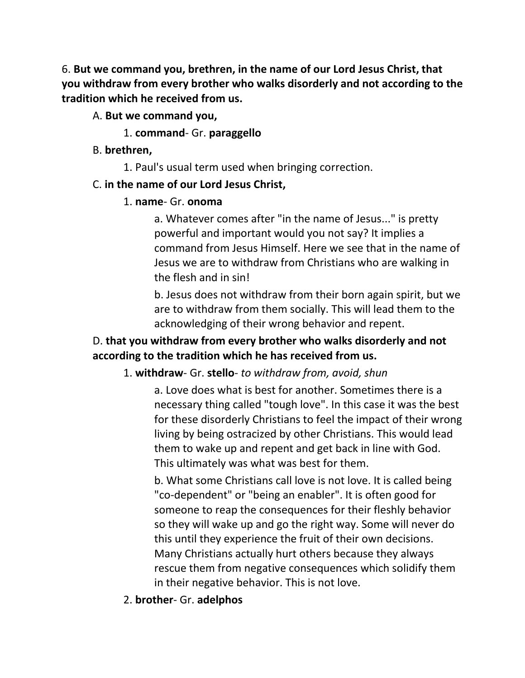6. **But we command you, brethren, in the name of our Lord Jesus Christ, that you withdraw from every brother who walks disorderly and not according to the tradition which he received from us.**

- A. **But we command you,**
	- 1. **command** Gr. **paraggello**
- B. **brethren,**
	- 1. Paul's usual term used when bringing correction.

## C. **in the name of our Lord Jesus Christ,**

## 1. **name**- Gr. **onoma**

a. Whatever comes after "in the name of Jesus..." is pretty powerful and important would you not say? It implies a command from Jesus Himself. Here we see that in the name of Jesus we are to withdraw from Christians who are walking in the flesh and in sin!

b. Jesus does not withdraw from their born again spirit, but we are to withdraw from them socially. This will lead them to the acknowledging of their wrong behavior and repent.

# D. **that you withdraw from every brother who walks disorderly and not according to the tradition which he has received from us.**

## 1. **withdraw**- Gr. **stello**- *to withdraw from, avoid, shun*

a. Love does what is best for another. Sometimes there is a necessary thing called "tough love". In this case it was the best for these disorderly Christians to feel the impact of their wrong living by being ostracized by other Christians. This would lead them to wake up and repent and get back in line with God. This ultimately was what was best for them.

b. What some Christians call love is not love. It is called being "co-dependent" or "being an enabler". It is often good for someone to reap the consequences for their fleshly behavior so they will wake up and go the right way. Some will never do this until they experience the fruit of their own decisions. Many Christians actually hurt others because they always rescue them from negative consequences which solidify them in their negative behavior. This is not love.

2. **brother**- Gr. **adelphos**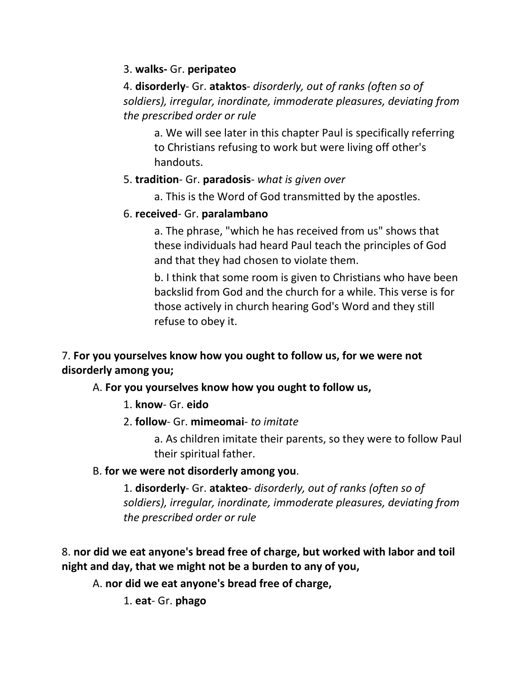## 3. **walks-** Gr. **peripateo**

4. **disorderly**- Gr. **ataktos**- *disorderly, out of ranks (often so of soldiers), irregular, inordinate, immoderate pleasures, deviating from the prescribed order or rule*

a. We will see later in this chapter Paul is specifically referring to Christians refusing to work but were living off other's handouts.

## 5. **tradition**- Gr. **paradosis**- *what is given over*

a. This is the Word of God transmitted by the apostles.

## 6. **received**- Gr. **paralambano**

a. The phrase, "which he has received from us" shows that these individuals had heard Paul teach the principles of God and that they had chosen to violate them.

b. I think that some room is given to Christians who have been backslid from God and the church for a while. This verse is for those actively in church hearing God's Word and they still refuse to obey it.

7. **For you yourselves know how you ought to follow us, for we were not disorderly among you;** 

## A. **For you yourselves know how you ought to follow us,**

- 1. **know** Gr. **eido**
- 2. **follow** Gr. **mimeomai** *to imitate*

a. As children imitate their parents, so they were to follow Paul their spiritual father.

## B. **for we were not disorderly among you**.

1. **disorderly**- Gr. **atakteo**- *disorderly, out of ranks (often so of soldiers), irregular, inordinate, immoderate pleasures, deviating from the prescribed order or rule*

8. **nor did we eat anyone's bread free of charge, but worked with labor and toil night and day, that we might not be a burden to any of you,** 

A. **nor did we eat anyone's bread free of charge,**

1. **eat**- Gr. **phago**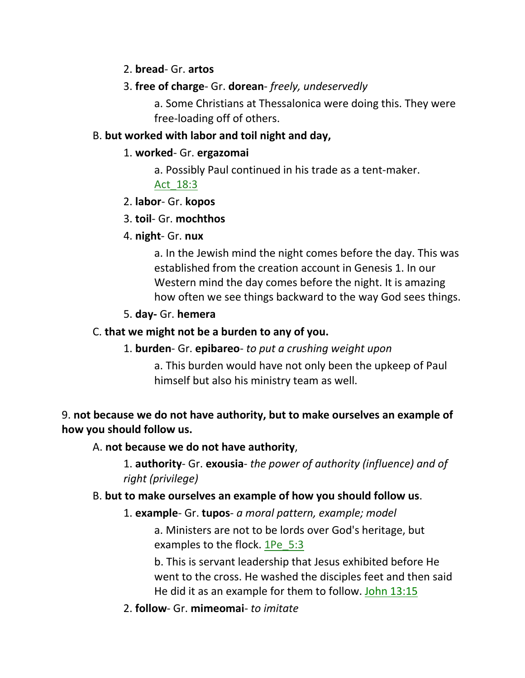#### 2. **bread**- Gr. **artos**

## 3. **free of charge**- Gr. **dorean**- *freely, undeservedly*

a. Some Christians at Thessalonica were doing this. They were free-loading off of others.

## B. **but worked with labor and toil night and day,**

#### 1. **worked**- Gr. **ergazomai**

a. Possibly Paul continued in his trade as a tent-maker.

## Act\_18:3

## 2. **labor**- Gr. **kopos**

## 3. **toil**- Gr. **mochthos**

## 4. **night**- Gr. **nux**

a. In the Jewish mind the night comes before the day. This was established from the creation account in Genesis 1. In our Western mind the day comes before the night. It is amazing how often we see things backward to the way God sees things.

## 5. **day-** Gr. **hemera**

## C. **that we might not be a burden to any of you.**

## 1. **burden**- Gr. **epibareo**- *to put a crushing weight upon*

a. This burden would have not only been the upkeep of Paul himself but also his ministry team as well.

## 9. **not because we do not have authority, but to make ourselves an example of how you should follow us.**

## A. **not because we do not have authority**,

1. **authority**- Gr. **exousia**- *the power of authority (influence) and of right (privilege)*

## B. **but to make ourselves an example of how you should follow us**.

## 1. **example**- Gr. **tupos**- *a moral pattern, example; model*

a. Ministers are not to be lords over God's heritage, but examples to the flock.  $1\text{Pe}$  5:3

b. This is servant leadership that Jesus exhibited before He went to the cross. He washed the disciples feet and then said He did it as an example for them to follow. John 13:15

## 2. **follow**- Gr. **mimeomai**- *to imitate*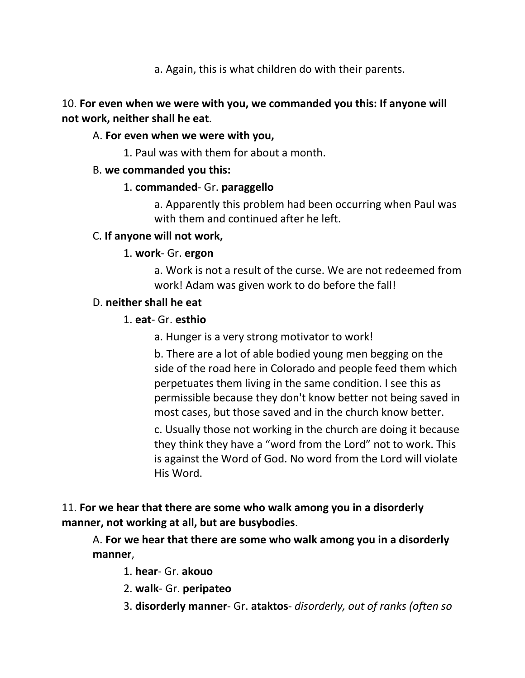a. Again, this is what children do with their parents.

## 10. **For even when we were with you, we commanded you this: If anyone will not work, neither shall he eat**.

## A. **For even when we were with you,**

1. Paul was with them for about a month.

## B. **we commanded you this:**

## 1. **commanded**- Gr. **paraggello**

a. Apparently this problem had been occurring when Paul was with them and continued after he left.

## C. **If anyone will not work,**

## 1. **work**- Gr. **ergon**

a. Work is not a result of the curse. We are not redeemed from work! Adam was given work to do before the fall!

## D. **neither shall he eat**

## 1. **eat**- Gr. **esthio**

a. Hunger is a very strong motivator to work!

b. There are a lot of able bodied young men begging on the side of the road here in Colorado and people feed them which perpetuates them living in the same condition. I see this as permissible because they don't know better not being saved in most cases, but those saved and in the church know better.

c. Usually those not working in the church are doing it because they think they have a "word from the Lord" not to work. This is against the Word of God. No word from the Lord will violate His Word.

# 11. **For we hear that there are some who walk among you in a disorderly manner, not working at all, but are busybodies**.

A. **For we hear that there are some who walk among you in a disorderly manner**,

- 1. **hear** Gr. **akouo**
- 2. **walk** Gr. **peripateo**
- 3. **disorderly manner** Gr. **ataktos** *disorderly, out of ranks (often so*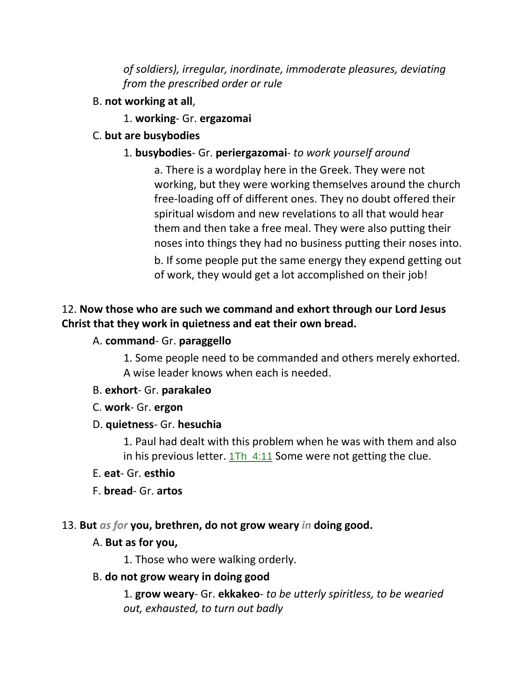*of soldiers), irregular, inordinate, immoderate pleasures, deviating from the prescribed order or rule*

- B. **not working at all**,
	- 1. **working** Gr. **ergazomai**
- C. **but are busybodies**

#### 1. **busybodies**- Gr. **periergazomai**- *to work yourself around*

a. There is a wordplay here in the Greek. They were not working, but they were working themselves around the church free-loading off of different ones. They no doubt offered their spiritual wisdom and new revelations to all that would hear them and then take a free meal. They were also putting their noses into things they had no business putting their noses into. b. If some people put the same energy they expend getting out of work, they would get a lot accomplished on their job!

## 12. **Now those who are such we command and exhort through our Lord Jesus Christ that they work in quietness and eat their own bread.**

#### A. **command**- Gr. **paraggello**

1. Some people need to be commanded and others merely exhorted. A wise leader knows when each is needed.

- B. **exhort** Gr. **parakaleo**
- C. **work** Gr. **ergon**

#### D. **quietness**- Gr. **hesuchia**

1. Paul had dealt with this problem when he was with them and also in his previous letter. 1Th\_4:11 Some were not getting the clue.

#### E. **eat**- Gr. **esthio**

F. **bread**- Gr. **artos**

#### 13. **But** *as for* **you, brethren, do not grow weary** *in* **doing good.**

#### A. **But as for you,**

1. Those who were walking orderly.

#### B. **do not grow weary in doing good**

1. **grow weary**- Gr. **ekkakeo**- *to be utterly spiritless, to be wearied out, exhausted, to turn out badly*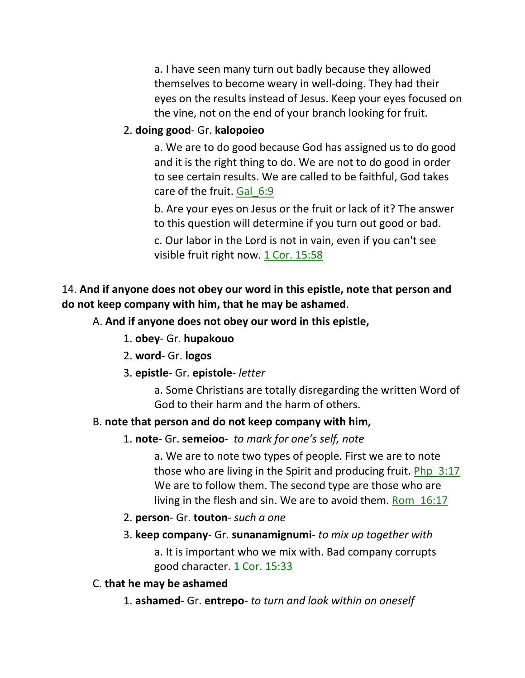a. I have seen many turn out badly because they allowed themselves to become weary in well-doing. They had their eyes on the results instead of Jesus. Keep your eyes focused on the vine, not on the end of your branch looking for fruit.

## 2. **doing good**- Gr. **kalopoieo**

a. We are to do good because God has assigned us to do good and it is the right thing to do. We are not to do good in order to see certain results. We are called to be faithful, God takes care of the fruit. Gal\_6:9

b. Are your eyes on Jesus or the fruit or lack of it? The answer to this question will determine if you turn out good or bad. c. Our labor in the Lord is not in vain, even if you can't see visible fruit right now. 1 Cor. 15:58

# 14. **And if anyone does not obey our word in this epistle, note that person and do not keep company with him, that he may be ashamed**.

# A. **And if anyone does not obey our word in this epistle,**

- 1. **obey** Gr. **hupakouo**
- 2. **word** Gr. **logos**
- 3. **epistle** Gr. **epistole** *letter*

a. Some Christians are totally disregarding the written Word of God to their harm and the harm of others.

## B. **note that person and do not keep company with him,**

## 1. **note**- Gr. **semeioo**- *to mark for one's self, note*

a. We are to note two types of people. First we are to note those who are living in the Spirit and producing fruit. Php\_3:17 We are to follow them. The second type are those who are living in the flesh and sin. We are to avoid them. Rom\_16:17

- 2. **person** Gr. **touton** *such a one*
- 3. **keep company** Gr. **sunanamignumi** *to mix up together with*

a. It is important who we mix with. Bad company corrupts good character. 1 Cor. 15:33

## C. **that he may be ashamed**

1. **ashamed**- Gr. **entrepo**- *to turn and look within on oneself*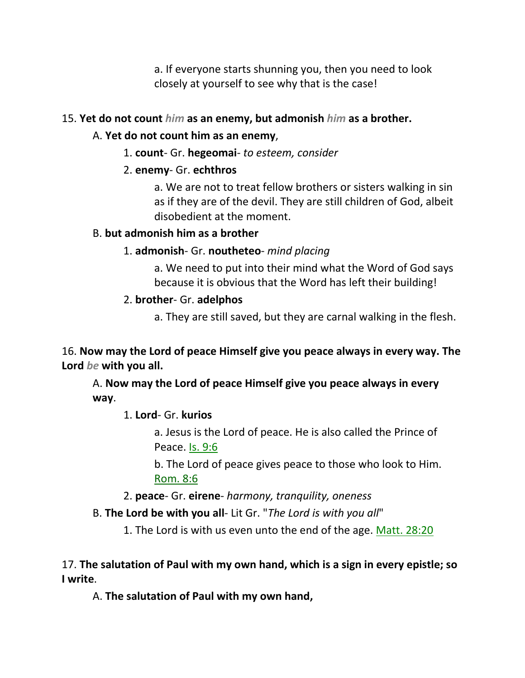a. If everyone starts shunning you, then you need to look closely at yourself to see why that is the case!

## 15. **Yet do not count** *him* **as an enemy, but admonish** *him* **as a brother.**

# A. **Yet do not count him as an enemy**,

1. **count**- Gr. **hegeomai**- *to esteem, consider*

# 2. **enemy**- Gr. **echthros**

a. We are not to treat fellow brothers or sisters walking in sin as if they are of the devil. They are still children of God, albeit disobedient at the moment.

# B. **but admonish him as a brother**

# 1. **admonish**- Gr. **noutheteo**- *mind placing*

a. We need to put into their mind what the Word of God says because it is obvious that the Word has left their building!

# 2. **brother**- Gr. **adelphos**

a. They are still saved, but they are carnal walking in the flesh.

16. **Now may the Lord of peace Himself give you peace always in every way. The Lord** *be* **with you all.** 

A. **Now may the Lord of peace Himself give you peace always in every way**.

1. **Lord**- Gr. **kurios**

a. Jesus is the Lord of peace. He is also called the Prince of Peace. Is. 9:6

b. The Lord of peace gives peace to those who look to Him. Rom. 8:6

2. **peace**- Gr. **eirene**- *harmony, tranquility, oneness*

B. **The Lord be with you all**- Lit Gr. "*The Lord is with you all*"

1. The Lord is with us even unto the end of the age. Matt. 28:20

# 17. **The salutation of Paul with my own hand, which is a sign in every epistle; so I write**.

A. **The salutation of Paul with my own hand,**